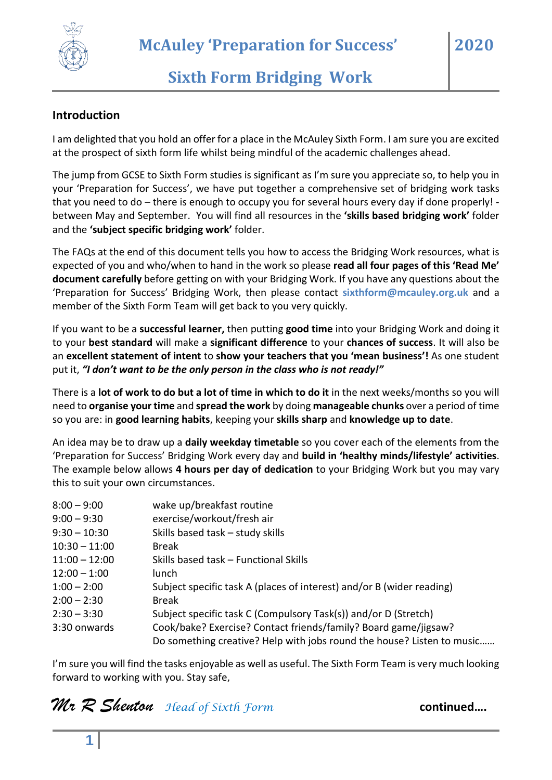

# **Sixth Form Bridging Work**

#### **Introduction**

I am delighted that you hold an offer for a place in the McAuley Sixth Form. I am sure you are excited at the prospect of sixth form life whilst being mindful of the academic challenges ahead.

The jump from GCSE to Sixth Form studies is significant as I'm sure you appreciate so, to help you in your 'Preparation for Success', we have put together a comprehensive set of bridging work tasks that you need to do – there is enough to occupy you for several hours every day if done properly! between May and September. You will find all resources in the **'skills based bridging work'** folder and the **'subject specific bridging work'** folder.

The FAQs at the end of this document tells you how to access the Bridging Work resources, what is expected of you and who/when to hand in the work so please **read all four pages of this 'Read Me' document carefully** before getting on with your Bridging Work. If you have any questions about the 'Preparation for Success' Bridging Work, then please contact **sixthform@mcauley.org.uk** and a member of the Sixth Form Team will get back to you very quickly.

If you want to be a **successful learner,** then putting **good time** into your Bridging Work and doing it to your **best standard** will make a **significant difference** to your **chances of success**. It will also be an **excellent statement of intent** to **show your teachers that you 'mean business'!** As one student put it, *"I don't want to be the only person in the class who is not ready!"*

There is a **lot of work to do but a lot of time in which to do it** in the next weeks/months so you will need to **organise your time** and **spread the work** by doing **manageable chunks** over a period of time so you are: in **good learning habits**, keeping your **skills sharp** and **knowledge up to date**.

An idea may be to draw up a **daily weekday timetable** so you cover each of the elements from the 'Preparation for Success' Bridging Work every day and **build in 'healthy minds/lifestyle' activities**. The example below allows **4 hours per day of dedication** to your Bridging Work but you may vary this to suit your own circumstances.

| $8:00 - 9:00$   | wake up/breakfast routine                                              |
|-----------------|------------------------------------------------------------------------|
| $9:00 - 9:30$   | exercise/workout/fresh air                                             |
| $9:30 - 10:30$  | Skills based task - study skills                                       |
| $10:30 - 11:00$ | <b>Break</b>                                                           |
| $11:00 - 12:00$ | Skills based task – Functional Skills                                  |
| $12:00 - 1:00$  | lunch                                                                  |
| $1:00 - 2:00$   | Subject specific task A (places of interest) and/or B (wider reading)  |
| $2:00 - 2:30$   | <b>Break</b>                                                           |
| $2:30 - 3:30$   | Subject specific task C (Compulsory Task(s)) and/or D (Stretch)        |
| 3:30 onwards    | Cook/bake? Exercise? Contact friends/family? Board game/jigsaw?        |
|                 | Do something creative? Help with jobs round the house? Listen to music |

I'm sure you will find the tasks enjoyable as well as useful. The Sixth Form Team is very much looking forward to working with you. Stay safe,

*Mr R Shenton Head of Sixth Form* **continued**...

**2020**

**1**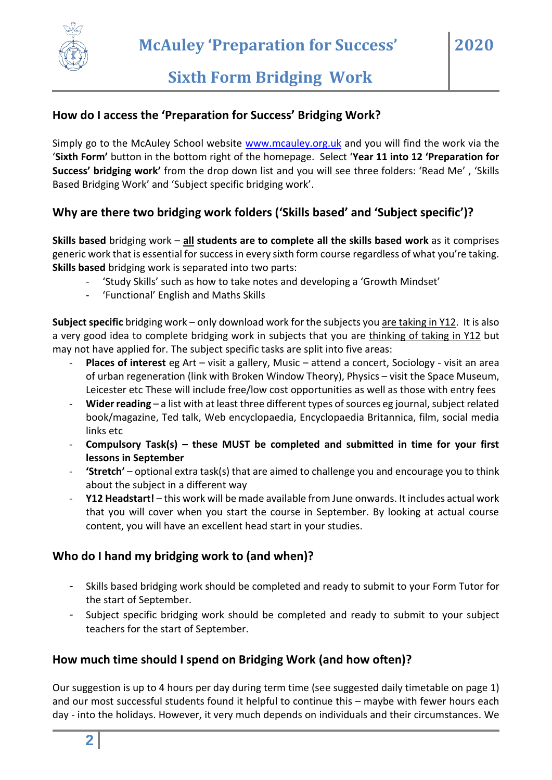

**2020**

#### **How do I access the 'Preparation for Success' Bridging Work?**

Simply go to the McAuley School website [www.mcauley.org.uk](http://www.mcauley.org.uk/) and you will find the work via the '**Sixth Form'** button in the bottom right of the homepage. Select '**Year 11 into 12 'Preparation for Success' bridging work'** from the drop down list and you will see three folders: 'Read Me' , 'Skills Based Bridging Work' and 'Subject specific bridging work'.

#### **Why are there two bridging work folders ('Skills based' and 'Subject specific')?**

**Skills based** bridging work – **all students are to complete all the skills based work** as it comprises generic work that is essential for success in every sixth form course regardless of what you're taking. **Skills based** bridging work is separated into two parts:

- 'Study Skills' such as how to take notes and developing a 'Growth Mindset'
- 'Functional' English and Maths Skills

**Subject specific** bridging work – only download work for the subjects you are taking in Y12. It is also a very good idea to complete bridging work in subjects that you are thinking of taking in Y12 but may not have applied for. The subject specific tasks are split into five areas:

- **Places of interest** eg Art visit a gallery, Music attend a concert, Sociology visit an area of urban regeneration (link with Broken Window Theory), Physics – visit the Space Museum, Leicester etc These will include free/low cost opportunities as well as those with entry fees
- Wider reading a list with at least three different types of sources eg journal, subject related book/magazine, Ted talk, Web encyclopaedia, Encyclopaedia Britannica, film, social media links etc
- **Compulsory Task(s) – these MUST be completed and submitted in time for your first lessons in September**
- **'Stretch'** optional extra task(s) that are aimed to challenge you and encourage you to think about the subject in a different way
- **Y12 Headstart!** this work will be made available from June onwards. It includes actual work that you will cover when you start the course in September. By looking at actual course content, you will have an excellent head start in your studies.

## **Who do I hand my bridging work to (and when)?**

- Skills based bridging work should be completed and ready to submit to your Form Tutor for the start of September.
- Subject specific bridging work should be completed and ready to submit to your subject teachers for the start of September.

#### **How much time should I spend on Bridging Work (and how often)?**

Our suggestion is up to 4 hours per day during term time (see suggested daily timetable on page 1) and our most successful students found it helpful to continue this – maybe with fewer hours each day - into the holidays. However, it very much depends on individuals and their circumstances. We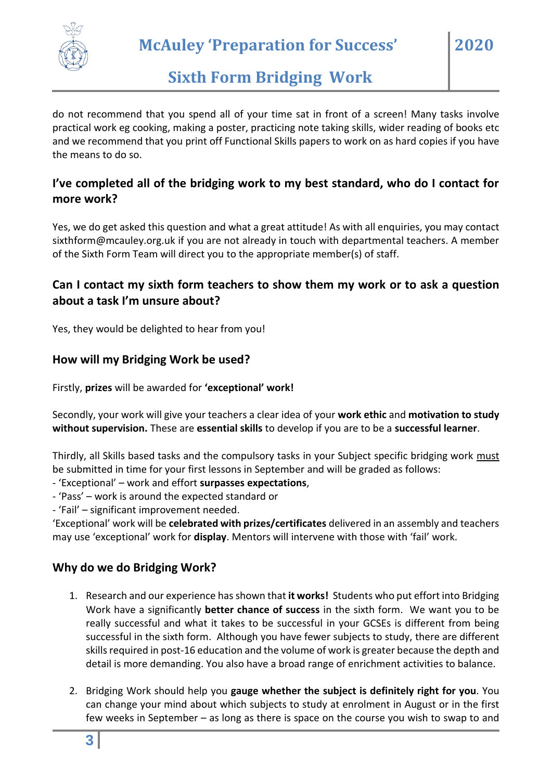

**McAuley 'Preparation for Success'**

## **Sixth Form Bridging Work**

do not recommend that you spend all of your time sat in front of a screen! Many tasks involve practical work eg cooking, making a poster, practicing note taking skills, wider reading of books etc and we recommend that you print off Functional Skills papers to work on as hard copies if you have the means to do so.

#### **I've completed all of the bridging work to my best standard, who do I contact for more work?**

Yes, we do get asked this question and what a great attitude! As with all enquiries, you may contact sixthform@mcauley.org.uk if you are not already in touch with departmental teachers. A member of the Sixth Form Team will direct you to the appropriate member(s) of staff.

### **Can I contact my sixth form teachers to show them my work or to ask a question about a task I'm unsure about?**

Yes, they would be delighted to hear from you!

#### **How will my Bridging Work be used?**

Firstly, **prizes** will be awarded for **'exceptional' work!**

Secondly, your work will give your teachers a clear idea of your **work ethic** and **motivation to study without supervision.** These are **essential skills** to develop if you are to be a **successful learner**.

Thirdly, all Skills based tasks and the compulsory tasks in your Subject specific bridging work must be submitted in time for your first lessons in September and will be graded as follows:

- 'Exceptional' – work and effort **surpasses expectations**,

- 'Pass' work is around the expected standard or
- 'Fail' significant improvement needed.

'Exceptional' work will be **celebrated with prizes/certificates** delivered in an assembly and teachers may use 'exceptional' work for **display**. Mentors will intervene with those with 'fail' work.

#### **Why do we do Bridging Work?**

- 1. Research and our experience has shown that **it works!** Students who put effort into Bridging Work have a significantly **better chance of success** in the sixth form. We want you to be really successful and what it takes to be successful in your GCSEs is different from being successful in the sixth form. Although you have fewer subjects to study, there are different skills required in post-16 education and the volume of work is greater because the depth and detail is more demanding. You also have a broad range of enrichment activities to balance.
- 2. Bridging Work should help you **gauge whether the subject is definitely right for you**. You can change your mind about which subjects to study at enrolment in August or in the first few weeks in September – as long as there is space on the course you wish to swap to and